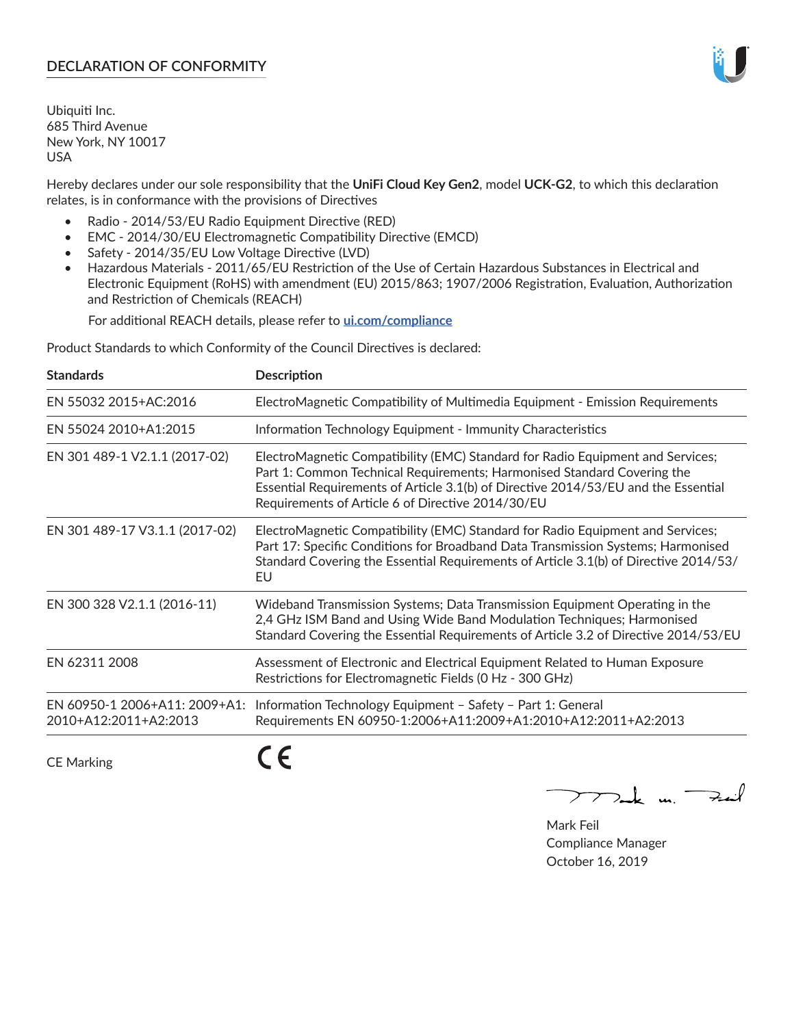# **DECLARATION OF CONFORMITY**

Ubiquiti Inc. 685 Third Avenue New York, NY 10017 USA

Hereby declares under our sole responsibility that the **UniFi Cloud Key Gen2**, model **UCK-G2**, to which this declaration relates, is in conformance with the provisions of Directives

- Radio 2014/53/EU Radio Equipment Directive (RED)
- EMC 2014/30/EU Electromagnetic Compatibility Directive (EMCD)
- Safety 2014/35/EU Low Voltage Directive (LVD)
- Hazardous Materials 2011/65/EU Restriction of the Use of Certain Hazardous Substances in Electrical and Electronic Equipment (RoHS) with amendment (EU) 2015/863; 1907/2006 Registration, Evaluation, Authorization and Restriction of Chemicals (REACH)

For additional REACH details, please refer to **[ui.com/compliance](https://dl.ui.com/compliance/REACH_Compliance_Declaration.pdf)**

Product Standards to which Conformity of the Council Directives is declared:

| <b>Standards</b>                                       | <b>Description</b>                                                                                                                                                                                                                                                                                   |
|--------------------------------------------------------|------------------------------------------------------------------------------------------------------------------------------------------------------------------------------------------------------------------------------------------------------------------------------------------------------|
| EN 55032 2015+AC:2016                                  | ElectroMagnetic Compatibility of Multimedia Equipment - Emission Requirements                                                                                                                                                                                                                        |
| EN 55024 2010+A1:2015                                  | Information Technology Equipment - Immunity Characteristics                                                                                                                                                                                                                                          |
| EN 301 489-1 V2.1.1 (2017-02)                          | ElectroMagnetic Compatibility (EMC) Standard for Radio Equipment and Services;<br>Part 1: Common Technical Requirements; Harmonised Standard Covering the<br>Essential Requirements of Article 3.1(b) of Directive 2014/53/EU and the Essential<br>Requirements of Article 6 of Directive 2014/30/EU |
| EN 301 489-17 V3.1.1 (2017-02)                         | ElectroMagnetic Compatibility (EMC) Standard for Radio Equipment and Services;<br>Part 17: Specific Conditions for Broadband Data Transmission Systems; Harmonised<br>Standard Covering the Essential Requirements of Article 3.1(b) of Directive 2014/53/<br>EU                                     |
| EN 300 328 V2.1.1 (2016-11)                            | Wideband Transmission Systems; Data Transmission Equipment Operating in the<br>2,4 GHz ISM Band and Using Wide Band Modulation Techniques; Harmonised<br>Standard Covering the Essential Requirements of Article 3.2 of Directive 2014/53/EU                                                         |
| EN 62311 2008                                          | Assessment of Electronic and Electrical Equipment Related to Human Exposure<br>Restrictions for Electromagnetic Fields (0 Hz - 300 GHz)                                                                                                                                                              |
| EN 60950-1 2006+A11: 2009+A1:<br>2010+A12:2011+A2:2013 | Information Technology Equipment - Safety - Part 1: General<br>Requirements EN 60950-1:2006+A11:2009+A1:2010+A12:2011+A2:2013                                                                                                                                                                        |
|                                                        |                                                                                                                                                                                                                                                                                                      |

CE Marking

CE

 $\sum$  and  $\sum_{i=1}^{n}$ 

Mark Feil Compliance Manager October 16, 2019

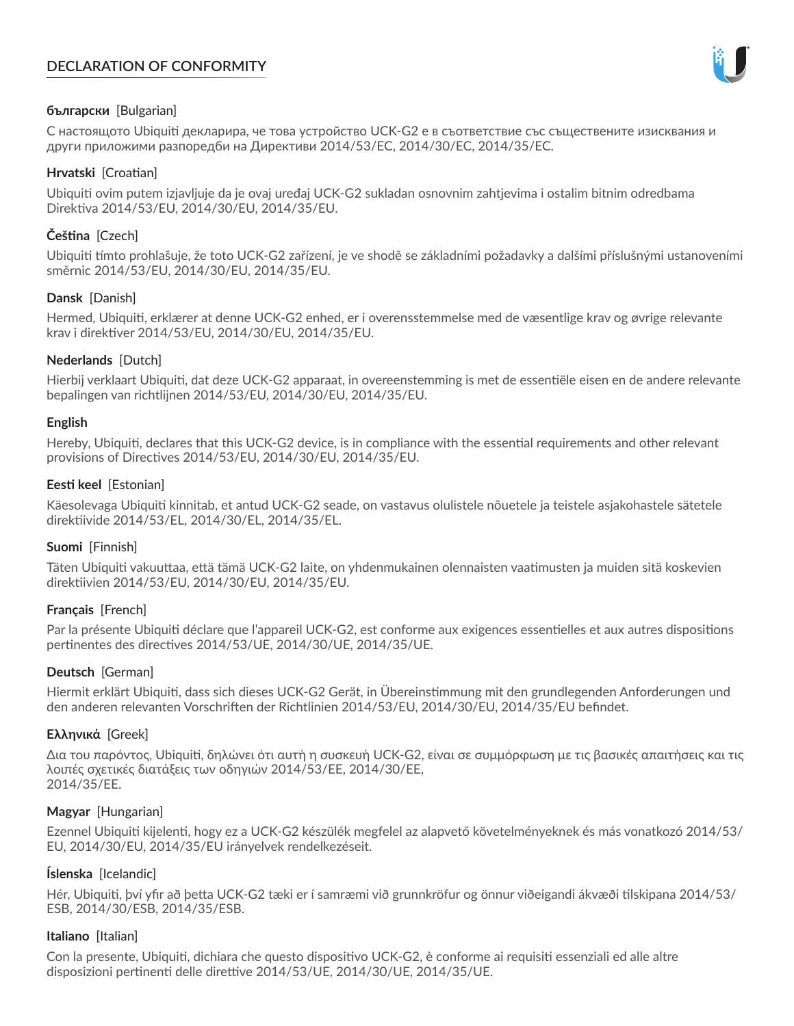# **DECLARATION OF CONFORMITY**



# **български** [Bulgarian]

С настоящото Ubiquiti декларира, че това устройство UCK-G2 е в съответствие със съществените изисквания и други приложими разпоредби на Директиви 2014/53/EC, 2014/30/ЕС, 2014/35/ЕС.

## **Hrvatski** [Croatian]

Ubiquiti ovim putem izjavljuje da je ovaj uređaj UCK-G2 sukladan osnovnim zahtjevima i ostalim bitnim odredbama Direktiva 2014/53/EU, 2014/30/EU, 2014/35/EU.

# **Čeština** [Czech]

Ubiquiti tímto prohlašuje, že toto UCK-G2 zařízení, je ve shodě se základními požadavky a dalšími příslušnými ustanoveními směrnic 2014/53/EU, 2014/30/EU, 2014/35/EU.

# **Dansk** [Danish]

Hermed, Ubiquiti, erklærer at denne UCK-G2 enhed, er i overensstemmelse med de væsentlige krav og øvrige relevante krav i direktiver 2014/53/EU, 2014/30/EU, 2014/35/EU.

# **Nederlands** [Dutch]

Hierbij verklaart Ubiquiti, dat deze UCK-G2 apparaat, in overeenstemming is met de essentiële eisen en de andere relevante bepalingen van richtlijnen 2014/53/EU, 2014/30/EU, 2014/35/EU.

## **English**

Hereby, Ubiquiti, declares that this UCK-G2 device, is in compliance with the essential requirements and other relevant provisions of Directives 2014/53/EU, 2014/30/EU, 2014/35/EU.

# **Eesti keel** [Estonian]

Käesolevaga Ubiquiti kinnitab, et antud UCK-G2 seade, on vastavus olulistele nõuetele ja teistele asjakohastele sätetele direktiivide 2014/53/EL, 2014/30/EL, 2014/35/EL.

## **Suomi** [Finnish]

Täten Ubiquiti vakuuttaa, että tämä UCK-G2 laite, on yhdenmukainen olennaisten vaatimusten ja muiden sitä koskevien direktiivien 2014/53/EU, 2014/30/EU, 2014/35/EU.

# **Français** [French]

Par la présente Ubiquiti déclare que l'appareil UCK-G2, est conforme aux exigences essentielles et aux autres dispositions pertinentes des directives 2014/53/UE, 2014/30/UE, 2014/35/UE.

## **Deutsch** [German]

Hiermit erklärt Ubiquiti, dass sich dieses UCK-G2 Gerät, in Übereinstimmung mit den grundlegenden Anforderungen und den anderen relevanten Vorschriften der Richtlinien 2014/53/EU, 2014/30/EU, 2014/35/EU befindet.

## **Ελληνικά** [Greek]

Δια του παρόντος, Ubiquiti, δηλώνει ότι αυτή η συσκευή UCK-G2, είναι σε συμμόρφωση με τις βασικές απαιτήσεις και τις λοιπές σχετικές διατάξεις των οδηγιών 2014/53/EE, 2014/30/EE, 2014/35/EE.

## **Magyar** [Hungarian]

Ezennel Ubiquiti kijelenti, hogy ez a UCK-G2 készülék megfelel az alapvető követelményeknek és más vonatkozó 2014/53/ EU, 2014/30/EU, 2014/35/EU irányelvek rendelkezéseit.

## **Íslenska** [Icelandic]

Hér, Ubiquiti, því yfir að þetta UCK-G2 tæki er í samræmi við grunnkröfur og önnur viðeigandi ákvæði tilskipana 2014/53/ ESB, 2014/30/ESB, 2014/35/ESB.

## **Italiano** [Italian]

Con la presente, Ubiquiti, dichiara che questo dispositivo UCK-G2, è conforme ai requisiti essenziali ed alle altre disposizioni pertinenti delle direttive 2014/53/UE, 2014/30/UE, 2014/35/UE.